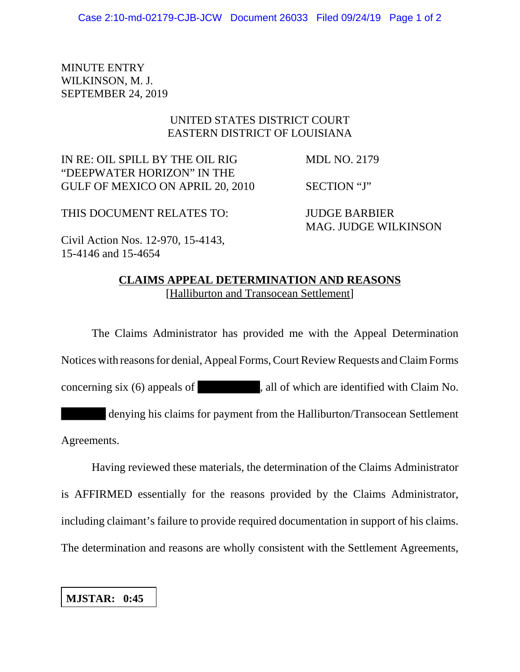MINUTE ENTRY WILKINSON, M. J. SEPTEMBER 24, 2019

## UNITED STATES DISTRICT COURT EASTERN DISTRICT OF LOUISIANA

IN RE: OIL SPILL BY THE OIL RIG MDL NO. 2179 "DEEPWATER HORIZON" IN THE GULF OF MEXICO ON APRIL 20, 2010 SECTION "J"

THIS DOCUMENT RELATES TO: JUDGE BARBIER

MAG. JUDGE WILKINSON

Civil Action Nos. 12-970, 15-4143, 15-4146 and 15-4654

## **CLAIMS APPEAL DETERMINATION AND REASONS** [Halliburton and Transocean Settlement]

The Claims Administrator has provided me with the Appeal Determination Notices with reasons for denial, Appeal Forms, Court Review Requests and Claim Forms concerning six (6) appeals of , all of which are identified with Claim No. denying his claims for payment from the Halliburton/Transocean Settlement Agreements.

Having reviewed these materials, the determination of the Claims Administrator is AFFIRMED essentially for the reasons provided by the Claims Administrator, including claimant's failure to provide required documentation in support of his claims. The determination and reasons are wholly consistent with the Settlement Agreements,

**MJSTAR: 0:45**